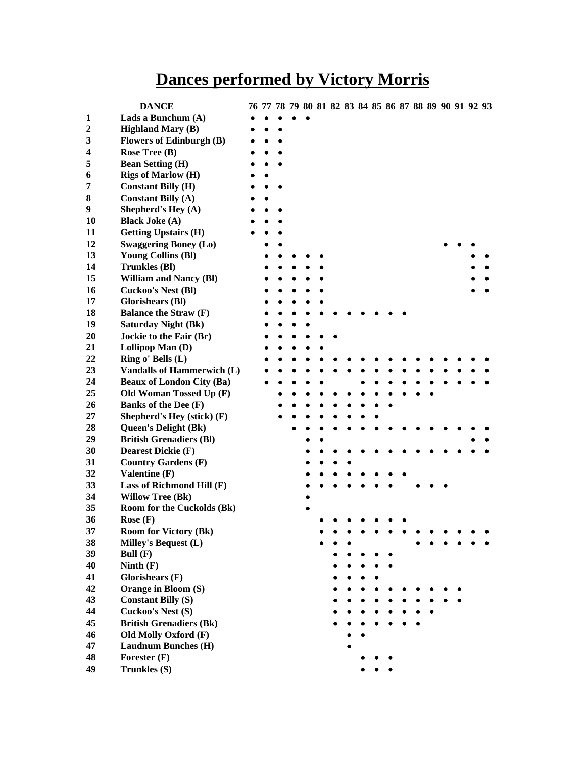# **Dances performed by Victory Morris**

|                  | <b>DANCE</b>                      |  | 76 77 78 79 80 81 82 83 84 85 86 87 88 89 90 91 92 93 |  |  |  |  |  |  |  |  |
|------------------|-----------------------------------|--|-------------------------------------------------------|--|--|--|--|--|--|--|--|
| 1                | Lads a Bunchum (A)                |  |                                                       |  |  |  |  |  |  |  |  |
| $\boldsymbol{2}$ | <b>Highland Mary (B)</b>          |  |                                                       |  |  |  |  |  |  |  |  |
| 3                | <b>Flowers of Edinburgh (B)</b>   |  |                                                       |  |  |  |  |  |  |  |  |
| 4                | Rose Tree (B)                     |  |                                                       |  |  |  |  |  |  |  |  |
| 5                | <b>Bean Setting (H)</b>           |  |                                                       |  |  |  |  |  |  |  |  |
| 6                | <b>Rigs of Marlow (H)</b>         |  |                                                       |  |  |  |  |  |  |  |  |
| 7                | <b>Constant Billy (H)</b>         |  |                                                       |  |  |  |  |  |  |  |  |
| 8                | <b>Constant Billy (A)</b>         |  |                                                       |  |  |  |  |  |  |  |  |
| 9                | Shepherd's Hey (A)                |  |                                                       |  |  |  |  |  |  |  |  |
| 10               | <b>Black Joke (A)</b>             |  |                                                       |  |  |  |  |  |  |  |  |
| 11               | <b>Getting Upstairs (H)</b>       |  |                                                       |  |  |  |  |  |  |  |  |
| 12               | <b>Swaggering Boney (Lo)</b>      |  |                                                       |  |  |  |  |  |  |  |  |
| 13               | <b>Young Collins (BI)</b>         |  |                                                       |  |  |  |  |  |  |  |  |
| 14               | <b>Trunkles (BI)</b>              |  |                                                       |  |  |  |  |  |  |  |  |
| 15               | <b>William and Nancy (Bl)</b>     |  |                                                       |  |  |  |  |  |  |  |  |
| 16               | <b>Cuckoo's Nest (Bl)</b>         |  |                                                       |  |  |  |  |  |  |  |  |
| 17               | <b>Glorishears (Bl)</b>           |  |                                                       |  |  |  |  |  |  |  |  |
| 18               | <b>Balance the Straw (F)</b>      |  |                                                       |  |  |  |  |  |  |  |  |
| 19               | <b>Saturday Night (Bk)</b>        |  |                                                       |  |  |  |  |  |  |  |  |
| 20               | Jockie to the Fair (Br)           |  |                                                       |  |  |  |  |  |  |  |  |
| 21               | Lollipop Man (D)                  |  |                                                       |  |  |  |  |  |  |  |  |
| 22               | Ring o' Bells (L)                 |  |                                                       |  |  |  |  |  |  |  |  |
| 23               | <b>Vandalls of Hammerwich (L)</b> |  |                                                       |  |  |  |  |  |  |  |  |
| 24               | <b>Beaux of London City (Ba)</b>  |  |                                                       |  |  |  |  |  |  |  |  |
| 25               | Old Woman Tossed Up (F)           |  |                                                       |  |  |  |  |  |  |  |  |
| 26               | Banks of the Dee (F)              |  |                                                       |  |  |  |  |  |  |  |  |
| 27               | Shepherd's Hey (stick) (F)        |  |                                                       |  |  |  |  |  |  |  |  |
| 28               | <b>Queen's Delight (Bk)</b>       |  |                                                       |  |  |  |  |  |  |  |  |
| 29               | <b>British Grenadiers (BI)</b>    |  |                                                       |  |  |  |  |  |  |  |  |
| 30               | <b>Dearest Dickie (F)</b>         |  |                                                       |  |  |  |  |  |  |  |  |
| 31               | <b>Country Gardens (F)</b>        |  |                                                       |  |  |  |  |  |  |  |  |
| 32               | Valentine (F)                     |  |                                                       |  |  |  |  |  |  |  |  |
| 33               | Lass of Richmond Hill (F)         |  |                                                       |  |  |  |  |  |  |  |  |
| 34               | <b>Willow Tree (Bk)</b>           |  |                                                       |  |  |  |  |  |  |  |  |
| 35               | Room for the Cuckolds (Bk)        |  |                                                       |  |  |  |  |  |  |  |  |
| 36               | Rose $(F)$                        |  |                                                       |  |  |  |  |  |  |  |  |
| 37               | <b>Room for Victory (Bk)</b>      |  |                                                       |  |  |  |  |  |  |  |  |
| 38               | Milley's Bequest (L)              |  |                                                       |  |  |  |  |  |  |  |  |
| 39               | Bull $(F)$                        |  |                                                       |  |  |  |  |  |  |  |  |
| 40               | Ninth $(F)$                       |  |                                                       |  |  |  |  |  |  |  |  |
| 41               | Glorishears $(F)$                 |  |                                                       |  |  |  |  |  |  |  |  |
| 42               | Orange in Bloom (S)               |  |                                                       |  |  |  |  |  |  |  |  |
| 43               | <b>Constant Billy (S)</b>         |  |                                                       |  |  |  |  |  |  |  |  |
| 44               | Cuckoo's Nest (S)                 |  |                                                       |  |  |  |  |  |  |  |  |
| 45               | <b>British Grenadiers (Bk)</b>    |  |                                                       |  |  |  |  |  |  |  |  |
| 46               | Old Molly Oxford (F)              |  |                                                       |  |  |  |  |  |  |  |  |
| 47               | <b>Laudnum Bunches (H)</b>        |  |                                                       |  |  |  |  |  |  |  |  |
| 48               | Forester $(F)$                    |  |                                                       |  |  |  |  |  |  |  |  |
| 49               | Trunkles (S)                      |  |                                                       |  |  |  |  |  |  |  |  |
|                  |                                   |  |                                                       |  |  |  |  |  |  |  |  |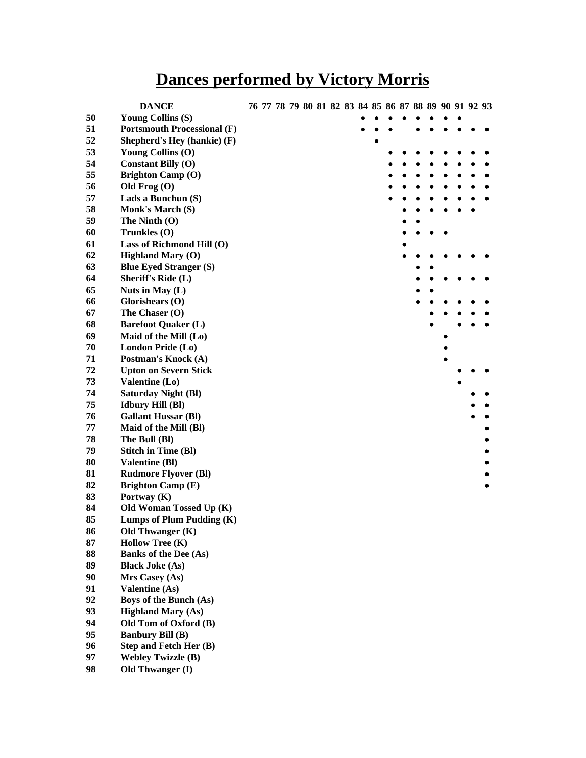# **Dances performed by Victory Morris**

|    | <b>DANCE</b>                       | 76 77 78 79 80 81 82 83 84 85 86 87 88 89 90 91 92 93 |  |  |  |  |  |  |  |  |
|----|------------------------------------|-------------------------------------------------------|--|--|--|--|--|--|--|--|
| 50 | <b>Young Collins (S)</b>           |                                                       |  |  |  |  |  |  |  |  |
| 51 | <b>Portsmouth Processional (F)</b> |                                                       |  |  |  |  |  |  |  |  |
| 52 | Shepherd's Hey (hankie) (F)        |                                                       |  |  |  |  |  |  |  |  |
| 53 | Young Collins (O)                  |                                                       |  |  |  |  |  |  |  |  |
| 54 | <b>Constant Billy (O)</b>          |                                                       |  |  |  |  |  |  |  |  |
| 55 | <b>Brighton Camp (O)</b>           |                                                       |  |  |  |  |  |  |  |  |
| 56 | Old Frog $(O)$                     |                                                       |  |  |  |  |  |  |  |  |
| 57 | Lads a Bunchun (S)                 |                                                       |  |  |  |  |  |  |  |  |
| 58 | <b>Monk's March (S)</b>            |                                                       |  |  |  |  |  |  |  |  |
| 59 | The Ninth $(O)$                    |                                                       |  |  |  |  |  |  |  |  |
| 60 | Trunkles $(0)$                     |                                                       |  |  |  |  |  |  |  |  |
| 61 | Lass of Richmond Hill (O)          |                                                       |  |  |  |  |  |  |  |  |
| 62 | <b>Highland Mary (O)</b>           |                                                       |  |  |  |  |  |  |  |  |
| 63 | <b>Blue Eyed Stranger (S)</b>      |                                                       |  |  |  |  |  |  |  |  |
| 64 | <b>Sheriff's Ride (L)</b>          |                                                       |  |  |  |  |  |  |  |  |
|    |                                    |                                                       |  |  |  |  |  |  |  |  |
| 65 | Nuts in May (L)                    |                                                       |  |  |  |  |  |  |  |  |
| 66 | Glorishears (O)                    |                                                       |  |  |  |  |  |  |  |  |
| 67 | The Chaser (O)                     |                                                       |  |  |  |  |  |  |  |  |
| 68 | <b>Barefoot Quaker (L)</b>         |                                                       |  |  |  |  |  |  |  |  |
| 69 | Maid of the Mill (Lo)              |                                                       |  |  |  |  |  |  |  |  |
| 70 | London Pride (Lo)                  |                                                       |  |  |  |  |  |  |  |  |
| 71 | Postman's Knock (A)                |                                                       |  |  |  |  |  |  |  |  |
| 72 | <b>Upton on Severn Stick</b>       |                                                       |  |  |  |  |  |  |  |  |
| 73 | Valentine (Lo)                     |                                                       |  |  |  |  |  |  |  |  |
| 74 | <b>Saturday Night (Bl)</b>         |                                                       |  |  |  |  |  |  |  |  |
| 75 | <b>Idbury Hill (Bl)</b>            |                                                       |  |  |  |  |  |  |  |  |
| 76 | <b>Gallant Hussar (Bl)</b>         |                                                       |  |  |  |  |  |  |  |  |
| 77 | Maid of the Mill (Bl)              |                                                       |  |  |  |  |  |  |  |  |
| 78 | The Bull (Bl)                      |                                                       |  |  |  |  |  |  |  |  |
| 79 | <b>Stitch in Time (Bl)</b>         |                                                       |  |  |  |  |  |  |  |  |
| 80 | <b>Valentine (Bl)</b>              |                                                       |  |  |  |  |  |  |  |  |
| 81 | <b>Rudmore Flyover (Bl)</b>        |                                                       |  |  |  |  |  |  |  |  |
| 82 | <b>Brighton Camp (E)</b>           |                                                       |  |  |  |  |  |  |  |  |
| 83 | Portway (K)                        |                                                       |  |  |  |  |  |  |  |  |
| 84 | Old Woman Tossed Up (K)            |                                                       |  |  |  |  |  |  |  |  |
| 85 | Lumps of Plum Pudding (K)          |                                                       |  |  |  |  |  |  |  |  |
| 86 | Old Thwanger (K)                   |                                                       |  |  |  |  |  |  |  |  |
| 87 | <b>Hollow Tree (K)</b>             |                                                       |  |  |  |  |  |  |  |  |
| 88 | <b>Banks of the Dee (As)</b>       |                                                       |  |  |  |  |  |  |  |  |
| 89 | <b>Black Joke (As)</b>             |                                                       |  |  |  |  |  |  |  |  |
| 90 | Mrs Casey (As)                     |                                                       |  |  |  |  |  |  |  |  |
| 91 | <b>Valentine (As)</b>              |                                                       |  |  |  |  |  |  |  |  |
| 92 | Boys of the Bunch (As)             |                                                       |  |  |  |  |  |  |  |  |
| 93 | <b>Highland Mary (As)</b>          |                                                       |  |  |  |  |  |  |  |  |
| 94 | Old Tom of Oxford (B)              |                                                       |  |  |  |  |  |  |  |  |
| 95 | <b>Banbury Bill (B)</b>            |                                                       |  |  |  |  |  |  |  |  |
| 96 | <b>Step and Fetch Her (B)</b>      |                                                       |  |  |  |  |  |  |  |  |
| 97 | <b>Webley Twizzle (B)</b>          |                                                       |  |  |  |  |  |  |  |  |
| 98 | Old Thwanger (I)                   |                                                       |  |  |  |  |  |  |  |  |
|    |                                    |                                                       |  |  |  |  |  |  |  |  |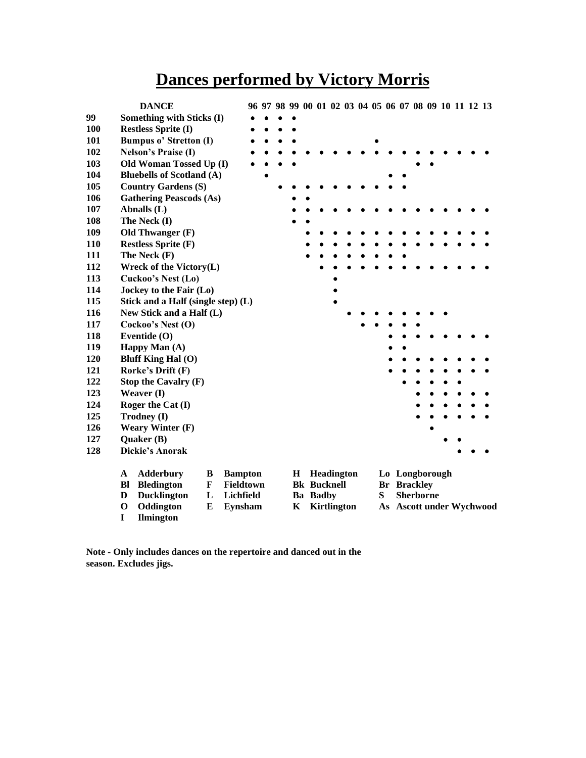#### **Dances performed by Victory Morris**

|            |             | <b>DANCE</b>                       |             |                |  |         |                    |  |   |    |                    |  |  | 96 97 98 99 00 01 02 03 04 05 06 07 08 09 10 11 12 13 |
|------------|-------------|------------------------------------|-------------|----------------|--|---------|--------------------|--|---|----|--------------------|--|--|-------------------------------------------------------|
| 99         |             | Something with Sticks (I)          |             |                |  |         |                    |  |   |    |                    |  |  |                                                       |
| <b>100</b> |             | <b>Restless Sprite (I)</b>         |             |                |  |         |                    |  |   |    |                    |  |  |                                                       |
| 101        |             | <b>Bumpus o' Stretton (I)</b>      |             |                |  |         |                    |  |   |    |                    |  |  |                                                       |
| 102        |             | <b>Nelson's Praise (I)</b>         |             |                |  |         |                    |  |   |    |                    |  |  |                                                       |
| 103        |             | Old Woman Tossed Up (I)            |             |                |  |         |                    |  |   |    |                    |  |  |                                                       |
| 104        |             | <b>Bluebells of Scotland (A)</b>   |             |                |  |         |                    |  |   |    |                    |  |  |                                                       |
| 105        |             | <b>Country Gardens (S)</b>         |             |                |  |         |                    |  |   |    |                    |  |  |                                                       |
| 106        |             | <b>Gathering Peascods (As)</b>     |             |                |  |         |                    |  |   |    |                    |  |  |                                                       |
| 107        |             | Abnalls (L)                        |             |                |  |         |                    |  |   |    |                    |  |  |                                                       |
| 108        |             | The Neck (I)                       |             |                |  |         |                    |  |   |    |                    |  |  |                                                       |
| 109        |             | Old Thwanger (F)                   |             |                |  |         |                    |  |   |    |                    |  |  |                                                       |
| 110        |             | <b>Restless Sprite (F)</b>         |             |                |  |         |                    |  |   |    |                    |  |  |                                                       |
| 111        |             | The Neck (F)                       |             |                |  |         |                    |  |   |    |                    |  |  |                                                       |
| 112        |             | Wreck of the Victory(L)            |             |                |  |         |                    |  |   |    |                    |  |  |                                                       |
| 113        |             | Cuckoo's Nest (Lo)                 |             |                |  |         |                    |  |   |    |                    |  |  |                                                       |
| 114        |             | Jockey to the Fair (Lo)            |             |                |  |         |                    |  |   |    |                    |  |  |                                                       |
| 115        |             | Stick and a Half (single step) (L) |             |                |  |         |                    |  |   |    |                    |  |  |                                                       |
| 116        |             | New Stick and a Half (L)           |             |                |  |         |                    |  |   |    |                    |  |  |                                                       |
| 117        |             | Cockoo's Nest (O)                  |             |                |  |         |                    |  |   |    |                    |  |  |                                                       |
| 118        |             | Eventide (O)                       |             |                |  |         |                    |  |   |    |                    |  |  |                                                       |
| 119        |             | Happy Man (A)                      |             |                |  |         |                    |  |   |    |                    |  |  |                                                       |
| 120        |             | <b>Bluff King Hal (O)</b>          |             |                |  |         |                    |  |   |    |                    |  |  |                                                       |
| 121        |             | Rorke's Drift (F)                  |             |                |  |         |                    |  |   |    |                    |  |  |                                                       |
| 122        |             | Stop the Cavalry (F)               |             |                |  |         |                    |  |   |    |                    |  |  |                                                       |
| 123        |             | Weaver (I)                         |             |                |  |         |                    |  |   |    |                    |  |  |                                                       |
| 124        |             | Roger the Cat (I)                  |             |                |  |         |                    |  |   |    |                    |  |  |                                                       |
| 125        |             | Trodney (I)                        |             |                |  |         |                    |  |   |    |                    |  |  |                                                       |
| 126        |             | <b>Weary Winter (F)</b>            |             |                |  |         |                    |  |   |    |                    |  |  |                                                       |
| 127        |             | Quaker (B)                         |             |                |  |         |                    |  |   |    |                    |  |  |                                                       |
| 128        |             | <b>Dickie's Anorak</b>             |             |                |  |         |                    |  |   |    |                    |  |  |                                                       |
|            | A           | <b>Adderbury</b>                   | B           | <b>Bampton</b> |  | $\bf H$ | Headington         |  |   |    | Lo Longborough     |  |  |                                                       |
|            | <b>Bl</b>   | <b>Bledington</b>                  | $\mathbf F$ | Fieldtown      |  |         | <b>Bk</b> Bucknell |  |   |    | <b>Br</b> Brackley |  |  |                                                       |
|            | D           | <b>Ducklington</b>                 | L           | Lichfield      |  |         | <b>Ba</b> Badby    |  | S |    | <b>Sherborne</b>   |  |  |                                                       |
|            | $\mathbf 0$ | Oddington                          | E           | Eynsham        |  | K       | <b>Kirtlington</b> |  |   | As |                    |  |  | <b>Ascott under Wychwood</b>                          |
|            | $\mathbf I$ | <b>Ilmington</b>                   |             |                |  |         |                    |  |   |    |                    |  |  |                                                       |

**Note - Only includes dances on the repertoire and danced out in the season. Excludes jigs.**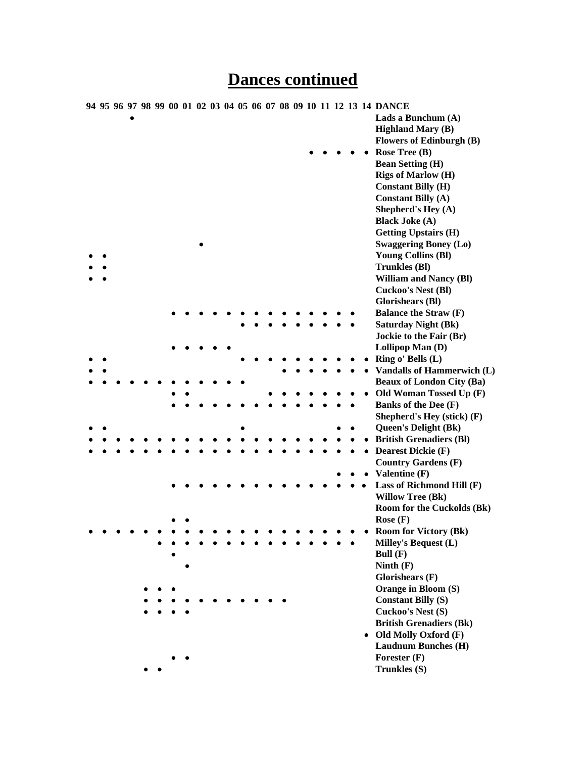|  |  |  |  |  |  |  |  |  |  | 94 95 96 97 98 99 00 01 02 03 04 05 06 07 08 09 10 11 12 13 14 DANCE |
|--|--|--|--|--|--|--|--|--|--|----------------------------------------------------------------------|
|  |  |  |  |  |  |  |  |  |  | Lads a Bunchum (A)                                                   |
|  |  |  |  |  |  |  |  |  |  | <b>Highland Mary (B)</b>                                             |
|  |  |  |  |  |  |  |  |  |  | <b>Flowers of Edinburgh (B)</b>                                      |
|  |  |  |  |  |  |  |  |  |  | Rose Tree (B)                                                        |
|  |  |  |  |  |  |  |  |  |  | <b>Bean Setting (H)</b>                                              |
|  |  |  |  |  |  |  |  |  |  | <b>Rigs of Marlow (H)</b>                                            |
|  |  |  |  |  |  |  |  |  |  | <b>Constant Billy (H)</b>                                            |
|  |  |  |  |  |  |  |  |  |  | <b>Constant Billy (A)</b>                                            |
|  |  |  |  |  |  |  |  |  |  | Shepherd's Hey (A)                                                   |
|  |  |  |  |  |  |  |  |  |  | <b>Black Joke (A)</b>                                                |
|  |  |  |  |  |  |  |  |  |  | <b>Getting Upstairs (H)</b>                                          |
|  |  |  |  |  |  |  |  |  |  | <b>Swaggering Boney (Lo)</b>                                         |
|  |  |  |  |  |  |  |  |  |  | <b>Young Collins (Bl)</b>                                            |
|  |  |  |  |  |  |  |  |  |  | <b>Trunkles (BI)</b>                                                 |
|  |  |  |  |  |  |  |  |  |  | <b>William and Nancy (Bl)</b>                                        |
|  |  |  |  |  |  |  |  |  |  | <b>Cuckoo's Nest (BI)</b>                                            |
|  |  |  |  |  |  |  |  |  |  | <b>Glorishears (BI)</b>                                              |
|  |  |  |  |  |  |  |  |  |  | <b>Balance the Straw (F)</b>                                         |
|  |  |  |  |  |  |  |  |  |  | <b>Saturday Night (Bk)</b>                                           |
|  |  |  |  |  |  |  |  |  |  | Jockie to the Fair (Br)                                              |
|  |  |  |  |  |  |  |  |  |  | Lollipop Man (D)                                                     |
|  |  |  |  |  |  |  |  |  |  | Ring o' Bells (L)                                                    |
|  |  |  |  |  |  |  |  |  |  | <b>Vandalls of Hammerwich (L)</b>                                    |
|  |  |  |  |  |  |  |  |  |  | <b>Beaux of London City (Ba)</b>                                     |
|  |  |  |  |  |  |  |  |  |  | Old Woman Tossed Up (F)                                              |
|  |  |  |  |  |  |  |  |  |  | <b>Banks of the Dee (F)</b>                                          |
|  |  |  |  |  |  |  |  |  |  | Shepherd's Hey (stick) (F)                                           |
|  |  |  |  |  |  |  |  |  |  | <b>Queen's Delight (Bk)</b>                                          |
|  |  |  |  |  |  |  |  |  |  | <b>British Grenadiers (BI)</b>                                       |
|  |  |  |  |  |  |  |  |  |  | <b>Dearest Dickie (F)</b>                                            |
|  |  |  |  |  |  |  |  |  |  | <b>Country Gardens (F)</b>                                           |
|  |  |  |  |  |  |  |  |  |  | Valentine (F)                                                        |
|  |  |  |  |  |  |  |  |  |  | Lass of Richmond Hill (F)                                            |
|  |  |  |  |  |  |  |  |  |  | <b>Willow Tree (Bk)</b>                                              |
|  |  |  |  |  |  |  |  |  |  | <b>Room for the Cuckolds (Bk)</b>                                    |
|  |  |  |  |  |  |  |  |  |  | Rose $(F)$                                                           |
|  |  |  |  |  |  |  |  |  |  | <b>Room for Victory (Bk)</b>                                         |
|  |  |  |  |  |  |  |  |  |  | Milley's Bequest (L)                                                 |
|  |  |  |  |  |  |  |  |  |  | Bull $(F)$                                                           |
|  |  |  |  |  |  |  |  |  |  | Ninth $(F)$                                                          |
|  |  |  |  |  |  |  |  |  |  | Glorishears (F)                                                      |
|  |  |  |  |  |  |  |  |  |  | Orange in Bloom (S)                                                  |
|  |  |  |  |  |  |  |  |  |  | <b>Constant Billy (S)</b>                                            |
|  |  |  |  |  |  |  |  |  |  | Cuckoo's Nest (S)                                                    |
|  |  |  |  |  |  |  |  |  |  | <b>British Grenadiers (Bk)</b>                                       |
|  |  |  |  |  |  |  |  |  |  | • Old Molly Oxford (F)                                               |
|  |  |  |  |  |  |  |  |  |  | <b>Laudnum Bunches (H)</b>                                           |
|  |  |  |  |  |  |  |  |  |  | Forester $(F)$                                                       |
|  |  |  |  |  |  |  |  |  |  | Trunkles (S)                                                         |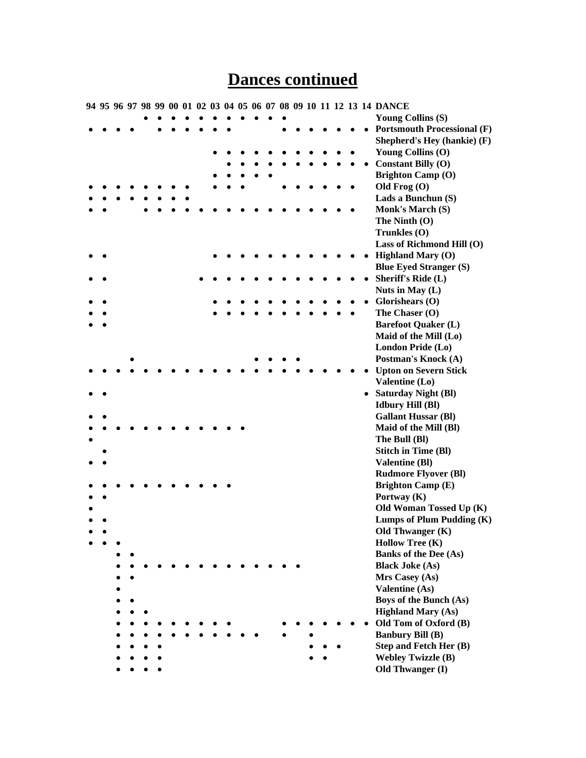|  |  |  |  |  |  |  |  |  |  | 94 95 96 97 98 99 00 01 02 03 04 05 06 07 08 09 10 11 12 13 14 DANCE |
|--|--|--|--|--|--|--|--|--|--|----------------------------------------------------------------------|
|  |  |  |  |  |  |  |  |  |  | <b>Young Collins (S)</b>                                             |
|  |  |  |  |  |  |  |  |  |  | <b>Portsmouth Processional (F)</b>                                   |
|  |  |  |  |  |  |  |  |  |  | Shepherd's Hey (hankie) (F)                                          |
|  |  |  |  |  |  |  |  |  |  | Young Collins (O)                                                    |
|  |  |  |  |  |  |  |  |  |  | <b>Constant Billy (O)</b>                                            |
|  |  |  |  |  |  |  |  |  |  | <b>Brighton Camp (O)</b>                                             |
|  |  |  |  |  |  |  |  |  |  | Old Frog $(O)$                                                       |
|  |  |  |  |  |  |  |  |  |  | Lads a Bunchun (S)                                                   |
|  |  |  |  |  |  |  |  |  |  | Monk's March (S)                                                     |
|  |  |  |  |  |  |  |  |  |  | The Ninth $(O)$                                                      |
|  |  |  |  |  |  |  |  |  |  | Trunkles (O)                                                         |
|  |  |  |  |  |  |  |  |  |  | Lass of Richmond Hill (O)                                            |
|  |  |  |  |  |  |  |  |  |  | <b>Highland Mary (O)</b>                                             |
|  |  |  |  |  |  |  |  |  |  | <b>Blue Eyed Stranger (S)</b>                                        |
|  |  |  |  |  |  |  |  |  |  | <b>Sheriff's Ride (L)</b>                                            |
|  |  |  |  |  |  |  |  |  |  | Nuts in May (L)                                                      |
|  |  |  |  |  |  |  |  |  |  | Glorishears $(O)$                                                    |
|  |  |  |  |  |  |  |  |  |  | The Chaser (O)                                                       |
|  |  |  |  |  |  |  |  |  |  | <b>Barefoot Quaker (L)</b>                                           |
|  |  |  |  |  |  |  |  |  |  | Maid of the Mill (Lo)                                                |
|  |  |  |  |  |  |  |  |  |  | London Pride (Lo)                                                    |
|  |  |  |  |  |  |  |  |  |  | Postman's Knock (A)                                                  |
|  |  |  |  |  |  |  |  |  |  | <b>Upton on Severn Stick</b>                                         |
|  |  |  |  |  |  |  |  |  |  | Valentine (Lo)                                                       |
|  |  |  |  |  |  |  |  |  |  | • Saturday Night (Bl)                                                |
|  |  |  |  |  |  |  |  |  |  | <b>Idbury Hill (Bl)</b>                                              |
|  |  |  |  |  |  |  |  |  |  | <b>Gallant Hussar (Bl)</b>                                           |
|  |  |  |  |  |  |  |  |  |  | Maid of the Mill (Bl)                                                |
|  |  |  |  |  |  |  |  |  |  | The Bull (Bl)                                                        |
|  |  |  |  |  |  |  |  |  |  | <b>Stitch in Time (Bl)</b>                                           |
|  |  |  |  |  |  |  |  |  |  | <b>Valentine (Bl)</b>                                                |
|  |  |  |  |  |  |  |  |  |  | <b>Rudmore Flyover (Bl)</b>                                          |
|  |  |  |  |  |  |  |  |  |  | <b>Brighton Camp (E)</b>                                             |
|  |  |  |  |  |  |  |  |  |  | Portway (K)                                                          |
|  |  |  |  |  |  |  |  |  |  | Old Woman Tossed Up (K)                                              |
|  |  |  |  |  |  |  |  |  |  | Lumps of Plum Pudding (K)                                            |
|  |  |  |  |  |  |  |  |  |  | Old Thwanger (K)                                                     |
|  |  |  |  |  |  |  |  |  |  | <b>Hollow Tree (K)</b>                                               |
|  |  |  |  |  |  |  |  |  |  | <b>Banks of the Dee (As)</b>                                         |
|  |  |  |  |  |  |  |  |  |  | <b>Black Joke (As)</b>                                               |
|  |  |  |  |  |  |  |  |  |  | Mrs Casey (As)                                                       |
|  |  |  |  |  |  |  |  |  |  | <b>Valentine (As)</b>                                                |
|  |  |  |  |  |  |  |  |  |  | <b>Boys of the Bunch (As)</b>                                        |
|  |  |  |  |  |  |  |  |  |  | <b>Highland Mary (As)</b>                                            |
|  |  |  |  |  |  |  |  |  |  | Old Tom of Oxford (B)                                                |
|  |  |  |  |  |  |  |  |  |  | <b>Banbury Bill (B)</b>                                              |
|  |  |  |  |  |  |  |  |  |  | Step and Fetch Her (B)                                               |
|  |  |  |  |  |  |  |  |  |  | <b>Webley Twizzle (B)</b>                                            |
|  |  |  |  |  |  |  |  |  |  | Old Thwanger (I)                                                     |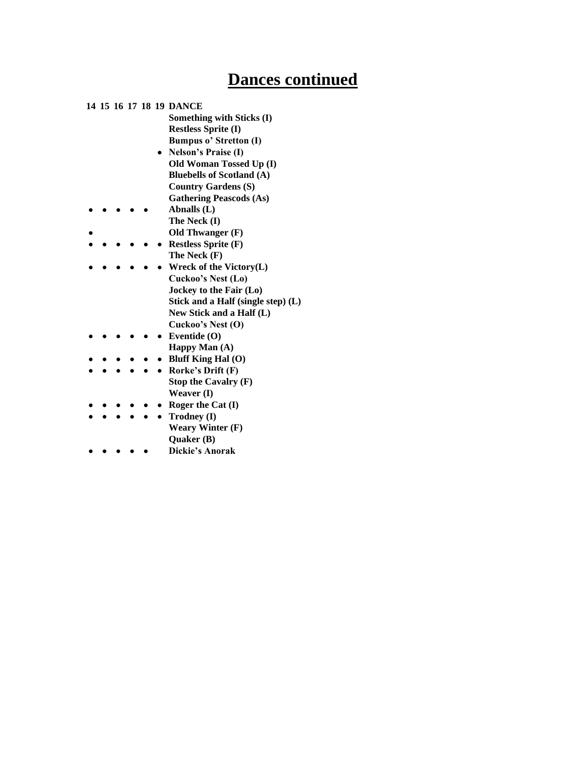|  |  |  | 14 15 16 17 18 19 DANCE            |
|--|--|--|------------------------------------|
|  |  |  | Something with Sticks (I)          |
|  |  |  | <b>Restless Sprite (I)</b>         |
|  |  |  | <b>Bumpus o' Stretton (I)</b>      |
|  |  |  | <b>Nelson's Praise (I)</b>         |
|  |  |  | Old Woman Tossed Up (I)            |
|  |  |  | <b>Bluebells of Scotland (A)</b>   |
|  |  |  | <b>Country Gardens (S)</b>         |
|  |  |  | <b>Gathering Peascods (As)</b>     |
|  |  |  | Abnalls (L)                        |
|  |  |  | The Neck (I)                       |
|  |  |  | Old Thwanger $(F)$                 |
|  |  |  | <b>Restless Sprite (F)</b>         |
|  |  |  | The Neck (F)                       |
|  |  |  | Wreck of the Victory(L)            |
|  |  |  | Cuckoo's Nest (Lo)                 |
|  |  |  | Jockey to the Fair (Lo)            |
|  |  |  | Stick and a Half (single step) (L) |
|  |  |  | New Stick and a Half (L)           |
|  |  |  | Cuckoo's Nest (O)                  |
|  |  |  | Eventide (O)                       |
|  |  |  | Happy Man (A)                      |
|  |  |  | <b>Bluff King Hal (O)</b>          |
|  |  |  | Rorke's Drift (F)                  |
|  |  |  | Stop the Cavalry $(F)$             |
|  |  |  | Weaver (I)                         |
|  |  |  | Roger the Cat $(I)$                |
|  |  |  | Trodney (I)                        |
|  |  |  | <b>Weary Winter (F)</b>            |
|  |  |  | Quaker (B)                         |
|  |  |  | <b>Dickie's Anorak</b>             |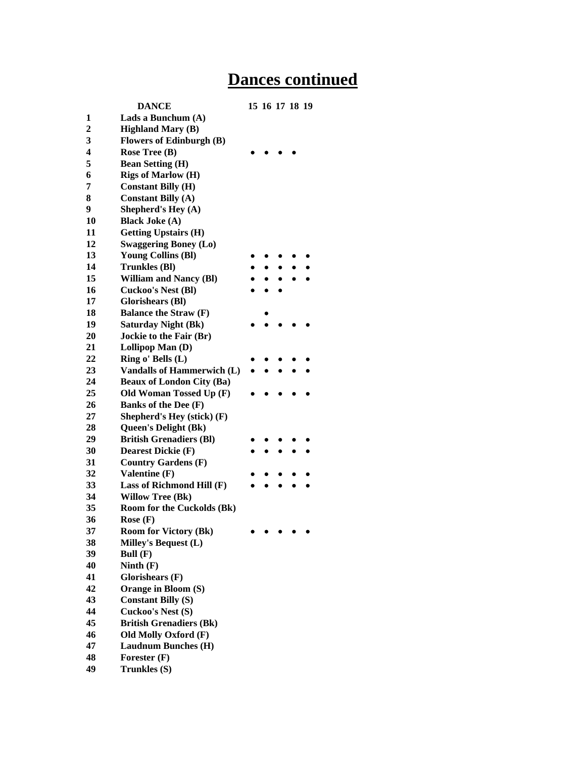|    | <b>DANCE</b>                      | 15 16 17 18 19 |  |  |
|----|-----------------------------------|----------------|--|--|
| 1  | Lads a Bunchum (A)                |                |  |  |
| 2  | <b>Highland Mary (B)</b>          |                |  |  |
| 3  | <b>Flowers of Edinburgh (B)</b>   |                |  |  |
| 4  | Rose Tree $(B)$                   |                |  |  |
| 5  | <b>Bean Setting (H)</b>           |                |  |  |
| 6  | <b>Rigs of Marlow (H)</b>         |                |  |  |
| 7  | <b>Constant Billy (H)</b>         |                |  |  |
| 8  | <b>Constant Billy (A)</b>         |                |  |  |
| 9  | Shepherd's Hey (A)                |                |  |  |
| 10 | <b>Black Joke (A)</b>             |                |  |  |
| 11 | <b>Getting Upstairs (H)</b>       |                |  |  |
| 12 | <b>Swaggering Boney (Lo)</b>      |                |  |  |
| 13 | <b>Young Collins (BI)</b>         |                |  |  |
| 14 | <b>Trunkles</b> (BI)              |                |  |  |
| 15 | <b>William and Nancy (BI)</b>     |                |  |  |
| 16 | <b>Cuckoo's Nest (Bl)</b>         |                |  |  |
| 17 | <b>Glorishears (BI)</b>           |                |  |  |
| 18 | <b>Balance the Straw (F)</b>      |                |  |  |
| 19 | <b>Saturday Night (Bk)</b>        |                |  |  |
| 20 | Jockie to the Fair (Br)           |                |  |  |
| 21 | Lollipop Man (D)                  |                |  |  |
| 22 | Ring o' Bells (L)                 |                |  |  |
| 23 | <b>Vandalls of Hammerwich (L)</b> |                |  |  |
| 24 | <b>Beaux of London City (Ba)</b>  |                |  |  |
| 25 | Old Woman Tossed Up (F)           |                |  |  |
| 26 | Banks of the Dee (F)              |                |  |  |
| 27 | Shepherd's Hey (stick) (F)        |                |  |  |
| 28 | <b>Queen's Delight (Bk)</b>       |                |  |  |
| 29 | <b>British Grenadiers (BI)</b>    |                |  |  |
| 30 | <b>Dearest Dickie (F)</b>         |                |  |  |
| 31 | <b>Country Gardens (F)</b>        |                |  |  |
| 32 | Valentine (F)                     |                |  |  |
| 33 | Lass of Richmond Hill (F)         |                |  |  |
| 34 | <b>Willow Tree (Bk)</b>           |                |  |  |
| 35 | <b>Room for the Cuckolds (Bk)</b> |                |  |  |
| 36 | Rose $(F)$                        |                |  |  |
| 37 | <b>Room for Victory (Bk)</b>      |                |  |  |
| 38 | Milley's Bequest (L)              |                |  |  |
| 39 | Bull $(F)$                        |                |  |  |
| 40 | Ninth $(F)$                       |                |  |  |
| 41 | Glorishears $(F)$                 |                |  |  |
| 42 | Orange in Bloom (S)               |                |  |  |
| 43 | <b>Constant Billy (S)</b>         |                |  |  |
| 44 | Cuckoo's Nest (S)                 |                |  |  |
| 45 | <b>British Grenadiers (Bk)</b>    |                |  |  |
| 46 | Old Molly Oxford (F)              |                |  |  |
| 47 | <b>Laudnum Bunches (H)</b>        |                |  |  |
| 48 | Forester $(F)$                    |                |  |  |
| 49 | Trunkles (S)                      |                |  |  |
|    |                                   |                |  |  |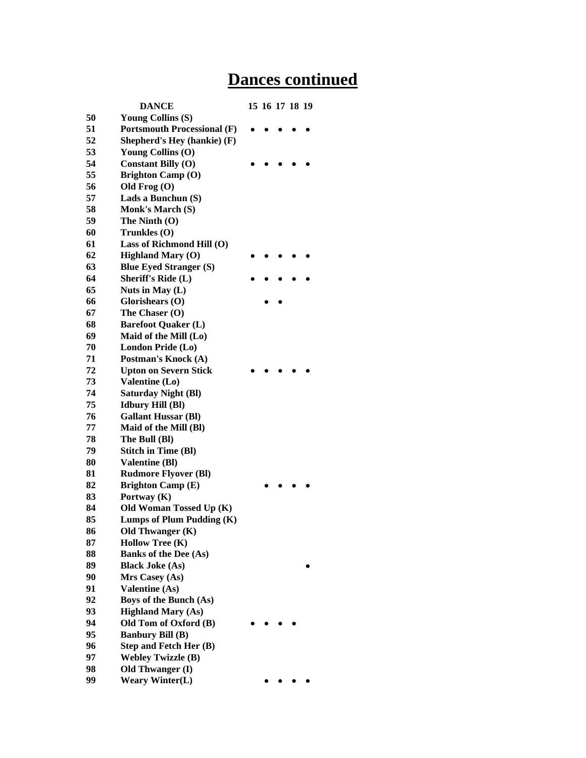|    | <b>DANCE</b>                       | 15 16 17 18 19 |  |  |
|----|------------------------------------|----------------|--|--|
| 50 | <b>Young Collins (S)</b>           |                |  |  |
| 51 | <b>Portsmouth Processional (F)</b> |                |  |  |
| 52 | Shepherd's Hey (hankie) (F)        |                |  |  |
| 53 | Young Collins (O)                  |                |  |  |
| 54 | <b>Constant Billy (O)</b>          |                |  |  |
| 55 | <b>Brighton Camp (O)</b>           |                |  |  |
| 56 | Old Frog $(O)$                     |                |  |  |
| 57 | Lads a Bunchun (S)                 |                |  |  |
| 58 | Monk's March (S)                   |                |  |  |
| 59 | The Ninth (O)                      |                |  |  |
| 60 | Trunkles (O)                       |                |  |  |
| 61 | Lass of Richmond Hill (O)          |                |  |  |
| 62 | <b>Highland Mary (O)</b>           |                |  |  |
| 63 | <b>Blue Eyed Stranger (S)</b>      |                |  |  |
| 64 | <b>Sheriff's Ride (L)</b>          |                |  |  |
| 65 | Nuts in May (L)                    |                |  |  |
| 66 | Glorishears (O)                    |                |  |  |
| 67 | The Chaser (O)                     |                |  |  |
| 68 | <b>Barefoot Quaker (L)</b>         |                |  |  |
| 69 | Maid of the Mill (Lo)              |                |  |  |
| 70 | London Pride (Lo)                  |                |  |  |
| 71 | Postman's Knock (A)                |                |  |  |
| 72 | <b>Upton on Severn Stick</b>       |                |  |  |
| 73 | Valentine (Lo)                     |                |  |  |
| 74 | <b>Saturday Night (BI)</b>         |                |  |  |
| 75 | <b>Idbury Hill (Bl)</b>            |                |  |  |
| 76 | <b>Gallant Hussar (Bl)</b>         |                |  |  |
| 77 | Maid of the Mill (Bl)              |                |  |  |
| 78 | The Bull (Bl)                      |                |  |  |
| 79 | <b>Stitch in Time (Bl)</b>         |                |  |  |
| 80 | <b>Valentine (Bl)</b>              |                |  |  |
| 81 | <b>Rudmore Flyover (Bl)</b>        |                |  |  |
| 82 | <b>Brighton Camp (E)</b>           |                |  |  |
| 83 | Portway (K)                        |                |  |  |
| 84 | Old Woman Tossed Up (K)            |                |  |  |
| 85 | Lumps of Plum Pudding (K)          |                |  |  |
| 86 | Old Thwanger (K)                   |                |  |  |
| 87 | <b>Hollow Tree (K)</b>             |                |  |  |
| 88 | <b>Banks of the Dee (As)</b>       |                |  |  |
| 89 | <b>Black Joke (As)</b>             |                |  |  |
| 90 | Mrs Casey (As)                     |                |  |  |
| 91 | <b>Valentine (As)</b>              |                |  |  |
| 92 | Boys of the Bunch (As)             |                |  |  |
| 93 | <b>Highland Mary (As)</b>          |                |  |  |
| 94 | Old Tom of Oxford (B)              |                |  |  |
| 95 | <b>Banbury Bill (B)</b>            |                |  |  |
| 96 | Step and Fetch Her (B)             |                |  |  |
| 97 | <b>Webley Twizzle (B)</b>          |                |  |  |
| 98 | Old Thwanger (I)                   |                |  |  |
| 99 | <b>Weary Winter(L)</b>             |                |  |  |
|    |                                    |                |  |  |